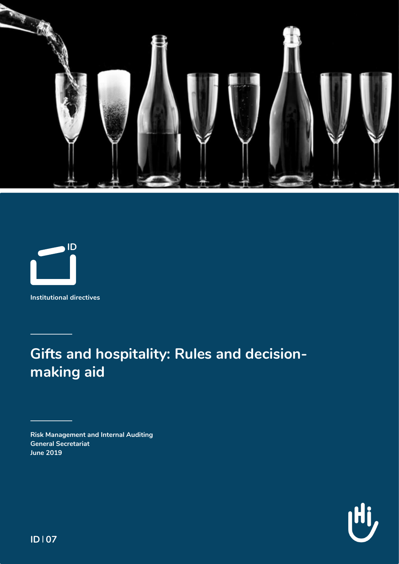



**Institutional directives**

**Gifts and hospitality: Rules and decisionmaking aid**

**Risk Management and Internal Auditing General Secretariat June 2019**



**ID 107**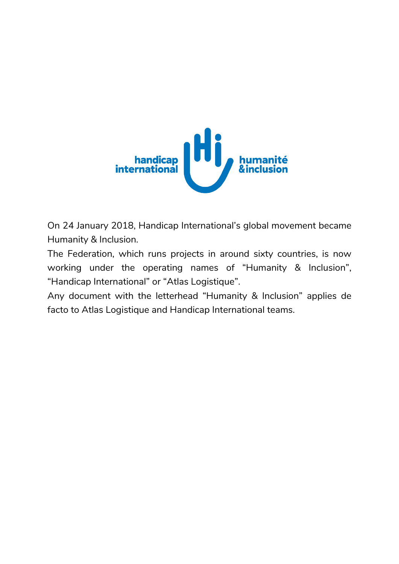

On 24 January 2018, Handicap International's global movement became Humanity & Inclusion.

The Federation, which runs projects in around sixty countries, is now working under the operating names of "Humanity & Inclusion", "Handicap International" or "Atlas Logistique".

Any document with the letterhead "Humanity & Inclusion" applies de facto to Atlas Logistique and Handicap International teams.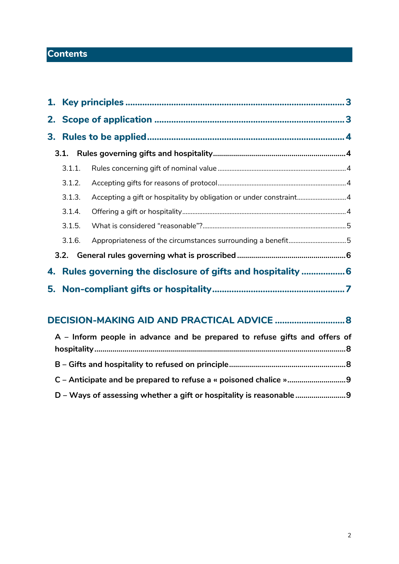# **Contents**

| 3.1.1. |                                                                    |  |  |  |
|--------|--------------------------------------------------------------------|--|--|--|
| 3.1.2. |                                                                    |  |  |  |
| 3.1.3. | Accepting a gift or hospitality by obligation or under constraint4 |  |  |  |
| 3.1.4. |                                                                    |  |  |  |
| 3.1.5. |                                                                    |  |  |  |
| 3.1.6. | Appropriateness of the circumstances surrounding a benefit5        |  |  |  |
|        |                                                                    |  |  |  |
|        | 4. Rules governing the disclosure of gifts and hospitality  6      |  |  |  |
|        |                                                                    |  |  |  |

# **[DECISION-MAKING AID AND PRACTICAL ADVICE](#page-8-0) .............................8**

| A - Inform people in advance and be prepared to refuse gifts and offers of |  |
|----------------------------------------------------------------------------|--|
|                                                                            |  |
|                                                                            |  |
|                                                                            |  |
| D - Ways of assessing whether a gift or hospitality is reasonable          |  |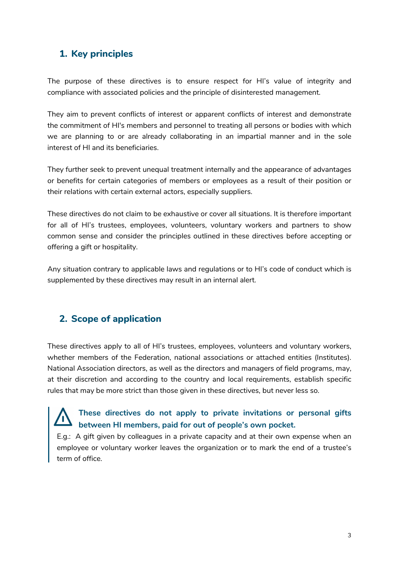# <span id="page-3-0"></span>**1. Key principles**

The purpose of these directives is to ensure respect for HI's value of integrity and compliance with associated policies and the principle of disinterested management.

They aim to prevent conflicts of interest or apparent conflicts of interest and demonstrate the commitment of HI's members and personnel to treating all persons or bodies with which we are planning to or are already collaborating in an impartial manner and in the sole interest of HI and its beneficiaries.

They further seek to prevent unequal treatment internally and the appearance of advantages or benefits for certain categories of members or employees as a result of their position or their relations with certain external actors, especially suppliers.

These directives do not claim to be exhaustive or cover all situations. It is therefore important for all of HI's trustees, employees, volunteers, voluntary workers and partners to show common sense and consider the principles outlined in these directives before accepting or offering a gift or hospitality.

Any situation contrary to applicable laws and regulations or to HI's code of conduct which is supplemented by these directives may result in an internal alert.

## <span id="page-3-1"></span>**2. Scope of application**

These directives apply to all of HI's trustees, employees, volunteers and voluntary workers, whether members of the Federation, national associations or attached entities (Institutes). National Association directors, as well as the directors and managers of field programs, may, at their discretion and according to the country and local requirements, establish specific rules that may be more strict than those given in these directives, but never less so.

# **These directives do not apply to private invitations or personal gifts between HI members, paid for out of people's own pocket.**

E.g.: A gift given by colleagues in a private capacity and at their own expense when an employee or voluntary worker leaves the organization or to mark the end of a trustee's term of office.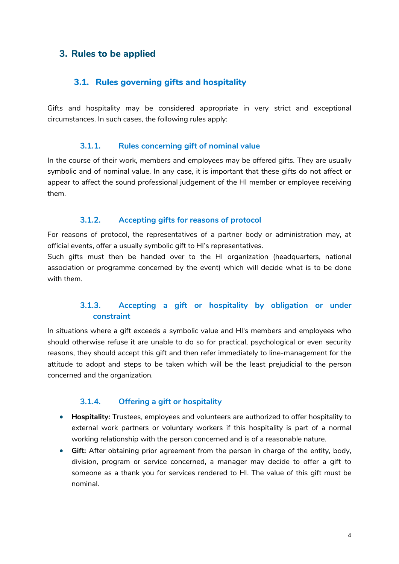## <span id="page-4-0"></span>**3. Rules to be applied**

#### <span id="page-4-1"></span>**3.1. Rules governing gifts and hospitality**

Gifts and hospitality may be considered appropriate in very strict and exceptional circumstances. In such cases, the following rules apply:

#### **3.1.1. Rules concerning gift of nominal value**

<span id="page-4-2"></span>In the course of their work, members and employees may be offered gifts. They are usually symbolic and of nominal value. In any case, it is important that these gifts do not affect or appear to affect the sound professional judgement of the HI member or employee receiving them.

#### **3.1.2. Accepting gifts for reasons of protocol**

<span id="page-4-3"></span>For reasons of protocol, the representatives of a partner body or administration may, at official events, offer a usually symbolic gift to HI's representatives.

Such gifts must then be handed over to the HI organization (headquarters, national association or programme concerned by the event) which will decide what is to be done with them.

### **3.1.3. Accepting a gift or hospitality by obligation or under constraint**

<span id="page-4-4"></span>In situations where a gift exceeds a symbolic value and HI's members and employees who should otherwise refuse it are unable to do so for practical, psychological or even security reasons, they should accept this gift and then refer immediately to line-management for the attitude to adopt and steps to be taken which will be the least prejudicial to the person concerned and the organization.

#### **3.1.4. Offering a gift or hospitality**

- <span id="page-4-5"></span>• **Hospitality:** Trustees, employees and volunteers are authorized to offer hospitality to external work partners or voluntary workers if this hospitality is part of a normal working relationship with the person concerned and is of a reasonable nature.
- **Gift:** After obtaining prior agreement from the person in charge of the entity, body, division, program or service concerned, a manager may decide to offer a gift to someone as a thank you for services rendered to HI. The value of this gift must be nominal.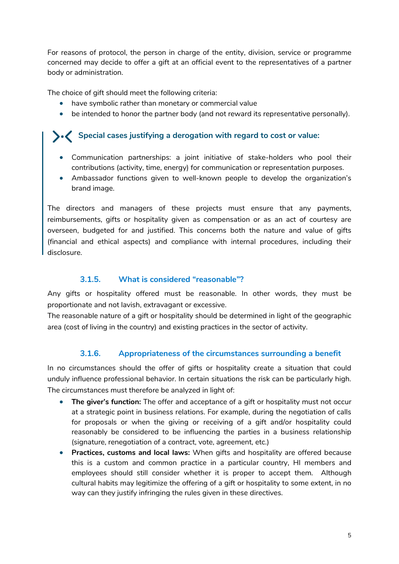For reasons of protocol, the person in charge of the entity, division, service or programme concerned may decide to offer a gift at an official event to the representatives of a partner body or administration.

The choice of gift should meet the following criteria:

- have symbolic rather than monetary or commercial value
- be intended to honor the partner body (and not reward its representative personally).

## **Special cases justifying a derogation with regard to cost or value:**

- Communication partnerships: a joint initiative of stake-holders who pool their contributions (activity, time, energy) for communication or representation purposes.
- Ambassador functions given to well-known people to develop the organization's brand image.

The directors and managers of these projects must ensure that any payments, reimbursements, gifts or hospitality given as compensation or as an act of courtesy are overseen, budgeted for and justified. This concerns both the nature and value of gifts (financial and ethical aspects) and compliance with internal procedures, including their disclosure.

### **3.1.5. What is considered "reasonable"?**

<span id="page-5-0"></span>Any gifts or hospitality offered must be reasonable. In other words, they must be proportionate and not lavish, extravagant or excessive.

The reasonable nature of a gift or hospitality should be determined in light of the geographic area (cost of living in the country) and existing practices in the sector of activity.

### **3.1.6. Appropriateness of the circumstances surrounding a benefit**

<span id="page-5-1"></span>In no circumstances should the offer of gifts or hospitality create a situation that could unduly influence professional behavior. In certain situations the risk can be particularly high. The circumstances must therefore be analyzed in light of:

- **The giver's function:** The offer and acceptance of a gift or hospitality must not occur at a strategic point in business relations. For example, during the negotiation of calls for proposals or when the giving or receiving of a gift and/or hospitality could reasonably be considered to be influencing the parties in a business relationship (signature, renegotiation of a contract, vote, agreement, etc.)
- **Practices, customs and local laws:** When gifts and hospitality are offered because this is a custom and common practice in a particular country, HI members and employees should still consider whether it is proper to accept them. Although cultural habits may legitimize the offering of a gift or hospitality to some extent, in no way can they justify infringing the rules given in these directives.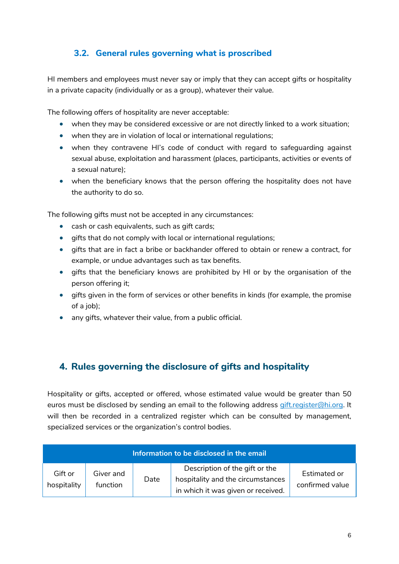# <span id="page-6-0"></span>**3.2. General rules governing what is proscribed**

HI members and employees must never say or imply that they can accept gifts or hospitality in a private capacity (individually or as a group), whatever their value.

The following offers of hospitality are never acceptable:

- when they may be considered excessive or are not directly linked to a work situation;
- when they are in violation of local or international regulations;
- when they contravene HI's code of conduct with regard to safeguarding against sexual abuse, exploitation and harassment (places, participants, activities or events of a sexual nature);
- when the beneficiary knows that the person offering the hospitality does not have the authority to do so.

The following gifts must not be accepted in any circumstances:

- cash or cash equivalents, such as gift cards;
- gifts that do not comply with local or international regulations;
- gifts that are in fact a bribe or backhander offered to obtain or renew a contract, for example, or undue advantages such as tax benefits.
- gifts that the beneficiary knows are prohibited by HI or by the organisation of the person offering it;
- gifts given in the form of services or other benefits in kinds (for example, the promise of a job);
- any gifts, whatever their value, from a public official.

# <span id="page-6-1"></span>**4. Rules governing the disclosure of gifts and hospitality**

Hospitality or gifts, accepted or offered, whose estimated value would be greater than 50 euros must be disclosed by sending an email to the following address [gift.register@hi.org.](mailto:gift.register@hi.org) It will then be recorded in a centralized register which can be consulted by management, specialized services or the organization's control bodies.

| Information to be disclosed in the email |                       |      |                                                                                                           |                                 |  |  |  |  |
|------------------------------------------|-----------------------|------|-----------------------------------------------------------------------------------------------------------|---------------------------------|--|--|--|--|
| Gift or<br>hospitality                   | Giver and<br>function | Date | Description of the gift or the<br>hospitality and the circumstances<br>in which it was given or received. | Estimated or<br>confirmed value |  |  |  |  |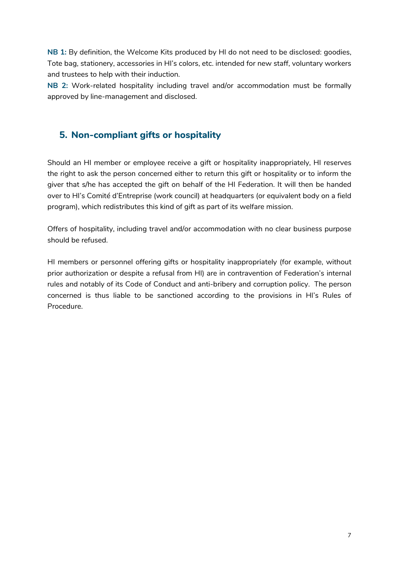**NB 1:** By definition, the Welcome Kits produced by HI do not need to be disclosed: goodies, Tote bag, stationery, accessories in HI's colors, etc. intended for new staff, voluntary workers and trustees to help with their induction.

**NB 2:** Work-related hospitality including travel and/or accommodation must be formally approved by line-management and disclosed.

# <span id="page-7-0"></span>**5. Non-compliant gifts or hospitality**

Should an HI member or employee receive a gift or hospitality inappropriately, HI reserves the right to ask the person concerned either to return this gift or hospitality or to inform the giver that s/he has accepted the gift on behalf of the HI Federation. It will then be handed over to HI's Comité d'Entreprise (work council) at headquarters (or equivalent body on a field program), which redistributes this kind of gift as part of its welfare mission.

Offers of hospitality, including travel and/or accommodation with no clear business purpose should be refused.

HI members or personnel offering gifts or hospitality inappropriately (for example, without prior authorization or despite a refusal from HI) are in contravention of Federation's internal rules and notably of its Code of Conduct and anti-bribery and corruption policy. The person concerned is thus liable to be sanctioned according to the provisions in HI's Rules of Procedure.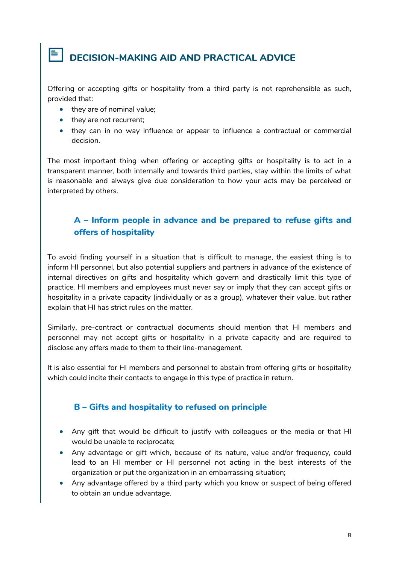# <span id="page-8-0"></span>**DECISION-MAKING AID AND PRACTICAL ADVICE**

Offering or accepting gifts or hospitality from a third party is not reprehensible as such, provided that:

- they are of nominal value;
- they are not recurrent;
- they can in no way influence or appear to influence a contractual or commercial decision.

The most important thing when offering or accepting gifts or hospitality is to act in a transparent manner, both internally and towards third parties, stay within the limits of what is reasonable and always give due consideration to how your acts may be perceived or interpreted by others.

# <span id="page-8-1"></span>**A – Inform people in advance and be prepared to refuse gifts and offers of hospitality**

To avoid finding yourself in a situation that is difficult to manage, the easiest thing is to inform HI personnel, but also potential suppliers and partners in advance of the existence of internal directives on gifts and hospitality which govern and drastically limit this type of practice. HI members and employees must never say or imply that they can accept gifts or hospitality in a private capacity (individually or as a group), whatever their value, but rather explain that HI has strict rules on the matter.

Similarly, pre-contract or contractual documents should mention that HI members and personnel may not accept gifts or hospitality in a private capacity and are required to disclose any offers made to them to their line-management.

It is also essential for HI members and personnel to abstain from offering gifts or hospitality which could incite their contacts to engage in this type of practice in return.

### <span id="page-8-2"></span>**B – Gifts and hospitality to refused on principle**

- Any gift that would be difficult to justify with colleagues or the media or that HI would be unable to reciprocate;
- Any advantage or gift which, because of its nature, value and/or frequency, could lead to an HI member or HI personnel not acting in the best interests of the organization or put the organization in an embarrassing situation;
- Any advantage offered by a third party which you know or suspect of being offered to obtain an undue advantage.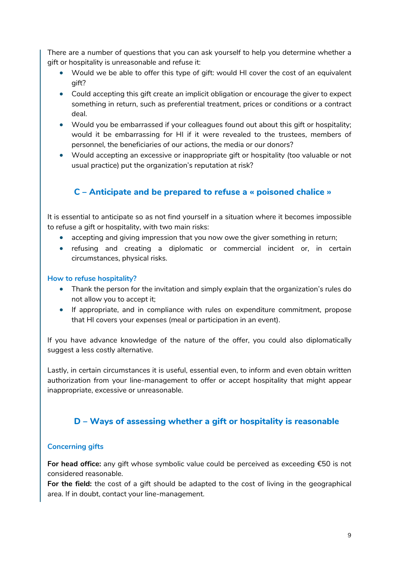There are a number of questions that you can ask yourself to help you determine whether a gift or hospitality is unreasonable and refuse it:

- Would we be able to offer this type of gift: would HI cover the cost of an equivalent gift?
- Could accepting this gift create an implicit obligation or encourage the giver to expect something in return, such as preferential treatment, prices or conditions or a contract deal.
- Would you be embarrassed if your colleagues found out about this gift or hospitality; would it be embarrassing for HI if it were revealed to the trustees, members of personnel, the beneficiaries of our actions, the media or our donors?
- Would accepting an excessive or inappropriate gift or hospitality (too valuable or not usual practice) put the organization's reputation at risk?

# **C – Anticipate and be prepared to refuse a « poisoned chalice »**

<span id="page-9-0"></span>It is essential to anticipate so as not find yourself in a situation where it becomes impossible to refuse a gift or hospitality, with two main risks:

- accepting and giving impression that you now owe the giver something in return;
- refusing and creating a diplomatic or commercial incident or, in certain circumstances, physical risks.

#### **How to refuse hospitality?**

- Thank the person for the invitation and simply explain that the organization's rules do not allow you to accept it;
- If appropriate, and in compliance with rules on expenditure commitment, propose that HI covers your expenses (meal or participation in an event).

If you have advance knowledge of the nature of the offer, you could also diplomatically suggest a less costly alternative.

Lastly, in certain circumstances it is useful, essential even, to inform and even obtain written authorization from your line-management to offer or accept hospitality that might appear inappropriate, excessive or unreasonable.

## **D – Ways of assessing whether a gift or hospitality is reasonable**

#### <span id="page-9-1"></span>**Concerning gifts**

**For head office:** any gift whose symbolic value could be perceived as exceeding €50 is not considered reasonable.

**For the field:** the cost of a gift should be adapted to the cost of living in the geographical area. If in doubt, contact your line-management.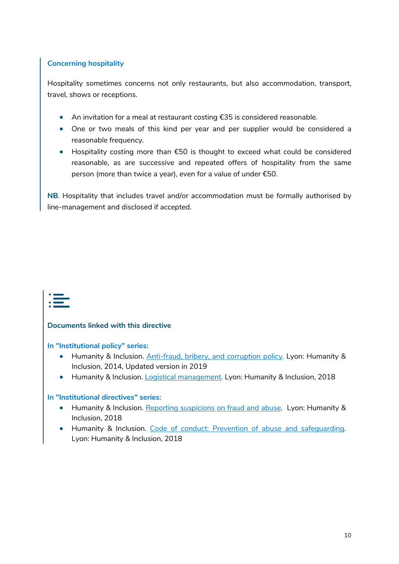### **Concerning hospitality**

Hospitality sometimes concerns not only restaurants, but also accommodation, transport, travel, shows or receptions.

- An invitation for a meal at restaurant costing €35 is considered reasonable.
- One or two meals of this kind per year and per supplier would be considered a reasonable frequency.
- Hospitality costing more than €50 is thought to exceed what could be considered reasonable, as are successive and repeated offers of hospitality from the same person (more than twice a year), even for a value of under €50.

**NB**. Hospitality that includes travel and/or accommodation must be formally authorised by line-management and disclosed if accepted.



#### **Documents linked with this directive**

**In "Institutional policy" series:**

- Humanity & Inclusion. [Anti-fraud, bribery, and corruption policy.](https://hinside.hi.org/intranet/front/publicDownload.jsp?docId=prod_2105274&authKey=cHJvZF8yMDA1OTAwOjE1NzI1MDk1MjUwMTI6JDJhJDA0JHRPbTEuUk0vZnZTWWFtOGlMT1hZbE8vcEdkY0dFdFI4QzdDVWM3T3FSeUZ5Ly54ZWFKNDdp) Lyon: Humanity & Inclusion, 2014, Updated version in 2019
- Humanity & Inclusion. [Logistical management.](https://hinside.hi.org/intranet/front/publicDownload.jsp?docId=prod_2222985&authKey=cHJvZF8yMDA1OTAwOjE1NzI1MDg4MDM0ODU6JDJhJDA0JEZWTjlGc1oxM0IzZ2hiM2I3aEVYZy5TS2VUVlJZLzBPQjVFcG14bzZRLmNOYnkyaml2QzBH) Lyon: Humanity & Inclusion, 2018

#### **In "Institutional directives" series:**

- Humanity & Inclusion. [Reporting suspicions on fraud and abuse.](https://hinside.hi.org/intranet/front/publicDownload.jsp?docId=prod_2372215&authKey=cHJvZF8yMDA1OTAwOjE1NzI1MDg1Njc0MzU6JDJhJDA0JFdFVHpiUDh3ZFhTZWUyaVJFaTFsQWUwc0N2djBEbU4yaEJHaFlVOThPb0lQVGQxWW1WWHRP) Lyon: Humanity & Inclusion, 2018
- Humanity & Inclusion. Code of conduct: [Prevention of abuse and safeguarding.](https://hinside.hi.org/intranet/front/publicDownload.jsp?docId=prod_2152933&authKey=cHJvZF8yMDA1OTAwOjE1NzI1MDk0NDQ4NDc6JDJhJDA0JG8yd1MuLnVMUS4vWTFPL2VtODFaVS41WFNBVkxueXNjRkFPYzlSS0o4M1VKaXU2TjRIWnlx) Lyon: Humanity & Inclusion, 2018